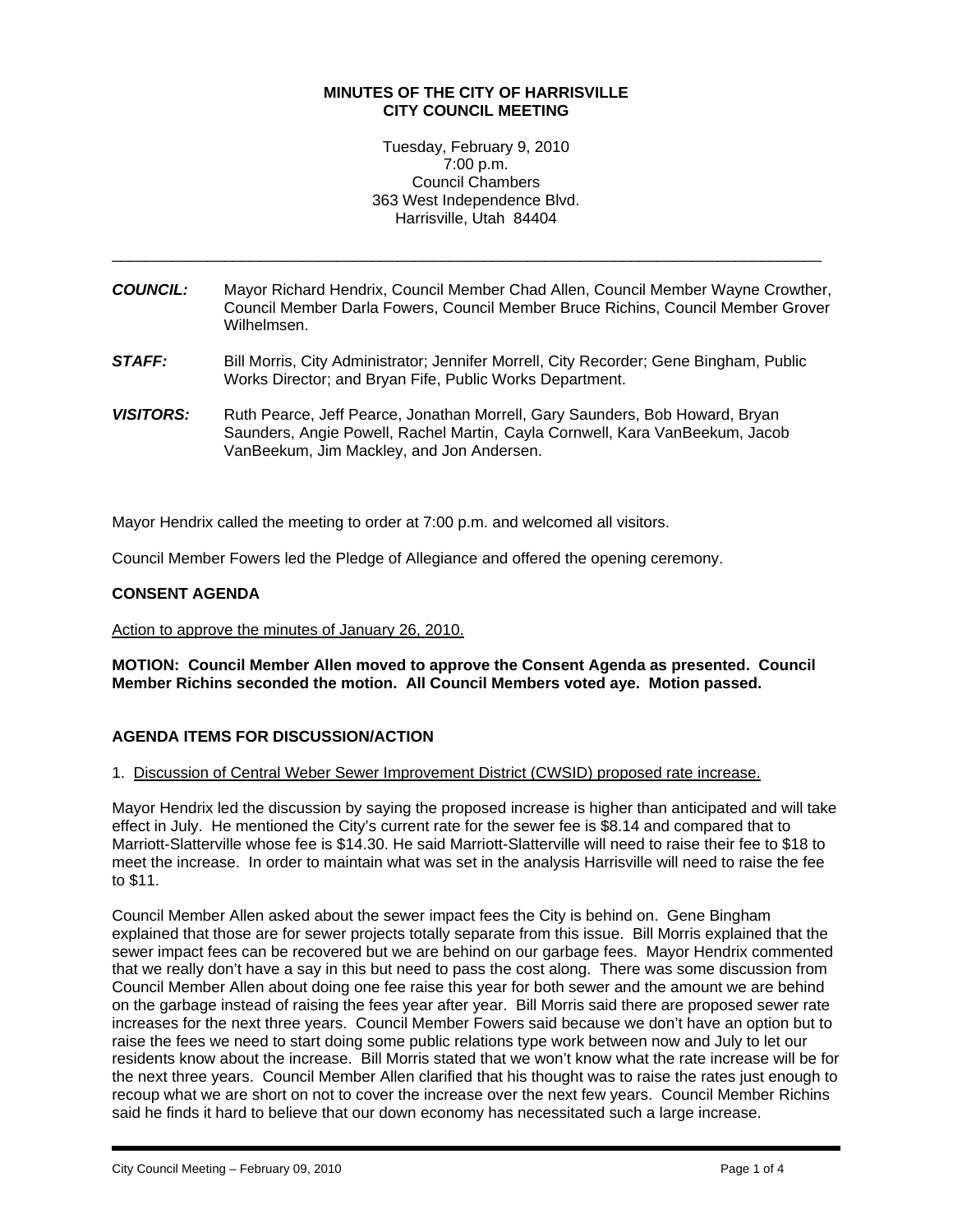# **MINUTES OF THE CITY OF HARRISVILLE CITY COUNCIL MEETING**

Tuesday, February 9, 2010 7:00 p.m. Council Chambers 363 West Independence Blvd. Harrisville, Utah 84404

*COUNCIL:* Mayor Richard Hendrix, Council Member Chad Allen, Council Member Wayne Crowther, Council Member Darla Fowers, Council Member Bruce Richins, Council Member Grover Wilhelmsen.

\_\_\_\_\_\_\_\_\_\_\_\_\_\_\_\_\_\_\_\_\_\_\_\_\_\_\_\_\_\_\_\_\_\_\_\_\_\_\_\_\_\_\_\_\_\_\_\_\_\_\_\_\_\_\_\_\_\_\_\_\_\_\_\_\_\_\_\_\_\_\_\_\_\_\_\_\_\_\_\_\_\_

- *STAFF:* Bill Morris, City Administrator; Jennifer Morrell, City Recorder; Gene Bingham, Public Works Director; and Bryan Fife, Public Works Department.
- *VISITORS:* Ruth Pearce, Jeff Pearce, Jonathan Morrell, Gary Saunders, Bob Howard, Bryan Saunders, Angie Powell, Rachel Martin, Cayla Cornwell, Kara VanBeekum, Jacob VanBeekum, Jim Mackley, and Jon Andersen.

Mayor Hendrix called the meeting to order at 7:00 p.m. and welcomed all visitors.

Council Member Fowers led the Pledge of Allegiance and offered the opening ceremony.

## **CONSENT AGENDA**

Action to approve the minutes of January 26, 2010.

**MOTION: Council Member Allen moved to approve the Consent Agenda as presented. Council Member Richins seconded the motion. All Council Members voted aye. Motion passed.** 

# **AGENDA ITEMS FOR DISCUSSION/ACTION**

1. Discussion of Central Weber Sewer Improvement District (CWSID) proposed rate increase.

Mayor Hendrix led the discussion by saying the proposed increase is higher than anticipated and will take effect in July. He mentioned the City's current rate for the sewer fee is \$8.14 and compared that to Marriott-Slatterville whose fee is \$14.30. He said Marriott-Slatterville will need to raise their fee to \$18 to meet the increase. In order to maintain what was set in the analysis Harrisville will need to raise the fee to \$11.

Council Member Allen asked about the sewer impact fees the City is behind on. Gene Bingham explained that those are for sewer projects totally separate from this issue. Bill Morris explained that the sewer impact fees can be recovered but we are behind on our garbage fees. Mayor Hendrix commented that we really don't have a say in this but need to pass the cost along. There was some discussion from Council Member Allen about doing one fee raise this year for both sewer and the amount we are behind on the garbage instead of raising the fees year after year. Bill Morris said there are proposed sewer rate increases for the next three years. Council Member Fowers said because we don't have an option but to raise the fees we need to start doing some public relations type work between now and July to let our residents know about the increase. Bill Morris stated that we won't know what the rate increase will be for the next three years. Council Member Allen clarified that his thought was to raise the rates just enough to recoup what we are short on not to cover the increase over the next few years. Council Member Richins said he finds it hard to believe that our down economy has necessitated such a large increase.

i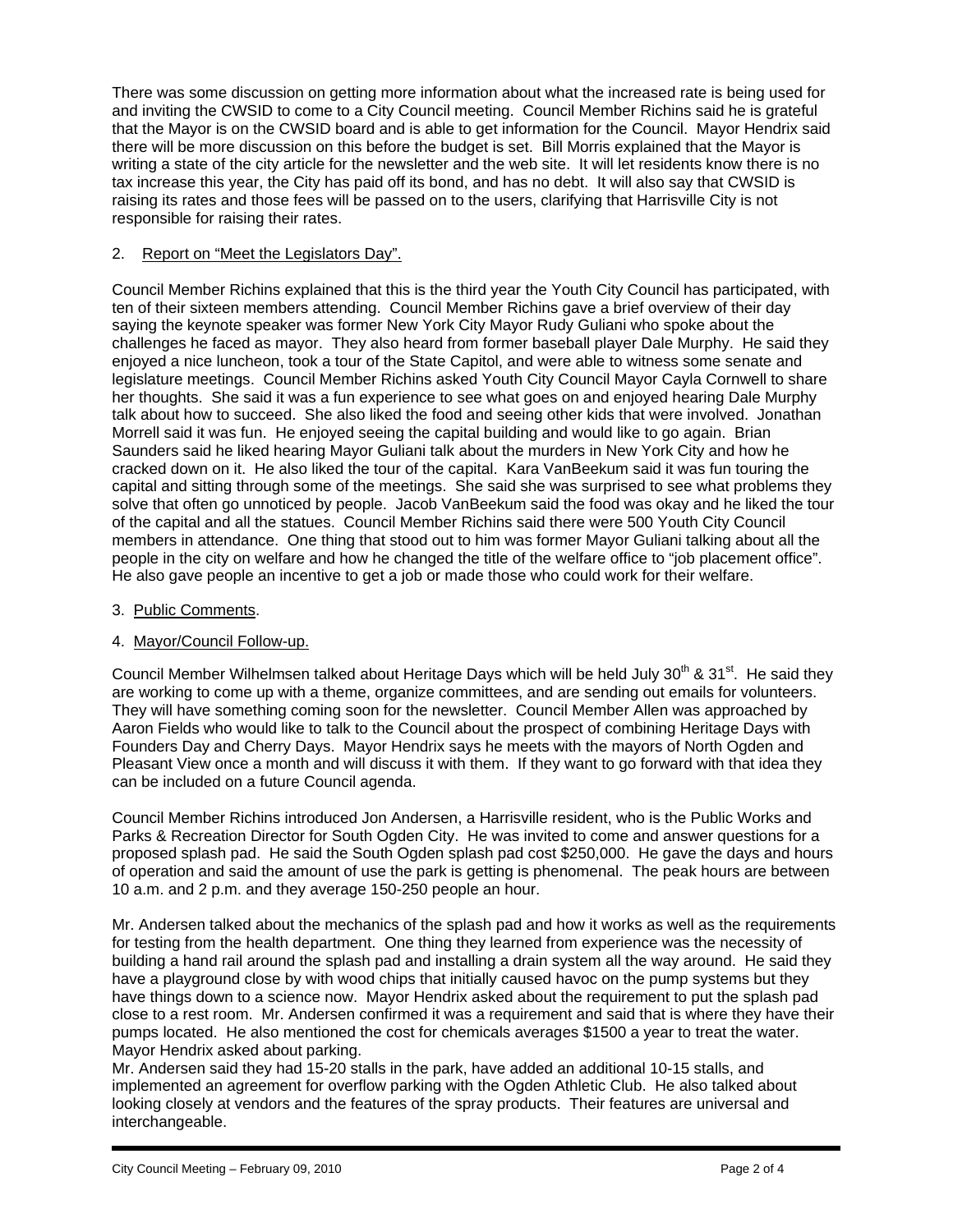There was some discussion on getting more information about what the increased rate is being used for and inviting the CWSID to come to a City Council meeting. Council Member Richins said he is grateful that the Mayor is on the CWSID board and is able to get information for the Council. Mayor Hendrix said there will be more discussion on this before the budget is set. Bill Morris explained that the Mayor is writing a state of the city article for the newsletter and the web site. It will let residents know there is no tax increase this year, the City has paid off its bond, and has no debt. It will also say that CWSID is raising its rates and those fees will be passed on to the users, clarifying that Harrisville City is not responsible for raising their rates.

# 2. Report on "Meet the Legislators Day".

Council Member Richins explained that this is the third year the Youth City Council has participated, with ten of their sixteen members attending. Council Member Richins gave a brief overview of their day saying the keynote speaker was former New York City Mayor Rudy Guliani who spoke about the challenges he faced as mayor. They also heard from former baseball player Dale Murphy. He said they enjoyed a nice luncheon, took a tour of the State Capitol, and were able to witness some senate and legislature meetings. Council Member Richins asked Youth City Council Mayor Cayla Cornwell to share her thoughts. She said it was a fun experience to see what goes on and enjoyed hearing Dale Murphy talk about how to succeed. She also liked the food and seeing other kids that were involved. Jonathan Morrell said it was fun. He enjoyed seeing the capital building and would like to go again. Brian Saunders said he liked hearing Mayor Guliani talk about the murders in New York City and how he cracked down on it. He also liked the tour of the capital. Kara VanBeekum said it was fun touring the capital and sitting through some of the meetings. She said she was surprised to see what problems they solve that often go unnoticed by people. Jacob VanBeekum said the food was okay and he liked the tour of the capital and all the statues. Council Member Richins said there were 500 Youth City Council members in attendance. One thing that stood out to him was former Mayor Guliani talking about all the people in the city on welfare and how he changed the title of the welfare office to "job placement office". He also gave people an incentive to get a job or made those who could work for their welfare.

- 3. Public Comments.
- 4. Mayor/Council Follow-up.

Council Member Wilhelmsen talked about Heritage Days which will be held July 30<sup>th</sup> & 31<sup>st</sup>. He said they are working to come up with a theme, organize committees, and are sending out emails for volunteers. They will have something coming soon for the newsletter. Council Member Allen was approached by Aaron Fields who would like to talk to the Council about the prospect of combining Heritage Days with Founders Day and Cherry Days. Mayor Hendrix says he meets with the mayors of North Ogden and Pleasant View once a month and will discuss it with them. If they want to go forward with that idea they can be included on a future Council agenda.

Council Member Richins introduced Jon Andersen, a Harrisville resident, who is the Public Works and Parks & Recreation Director for South Ogden City. He was invited to come and answer questions for a proposed splash pad. He said the South Ogden splash pad cost \$250,000. He gave the days and hours of operation and said the amount of use the park is getting is phenomenal. The peak hours are between 10 a.m. and 2 p.m. and they average 150-250 people an hour.

Mr. Andersen talked about the mechanics of the splash pad and how it works as well as the requirements for testing from the health department. One thing they learned from experience was the necessity of building a hand rail around the splash pad and installing a drain system all the way around. He said they have a playground close by with wood chips that initially caused havoc on the pump systems but they have things down to a science now. Mayor Hendrix asked about the requirement to put the splash pad close to a rest room. Mr. Andersen confirmed it was a requirement and said that is where they have their pumps located. He also mentioned the cost for chemicals averages \$1500 a year to treat the water. Mayor Hendrix asked about parking.

Mr. Andersen said they had 15-20 stalls in the park, have added an additional 10-15 stalls, and implemented an agreement for overflow parking with the Ogden Athletic Club. He also talked about looking closely at vendors and the features of the spray products. Their features are universal and interchangeable.

i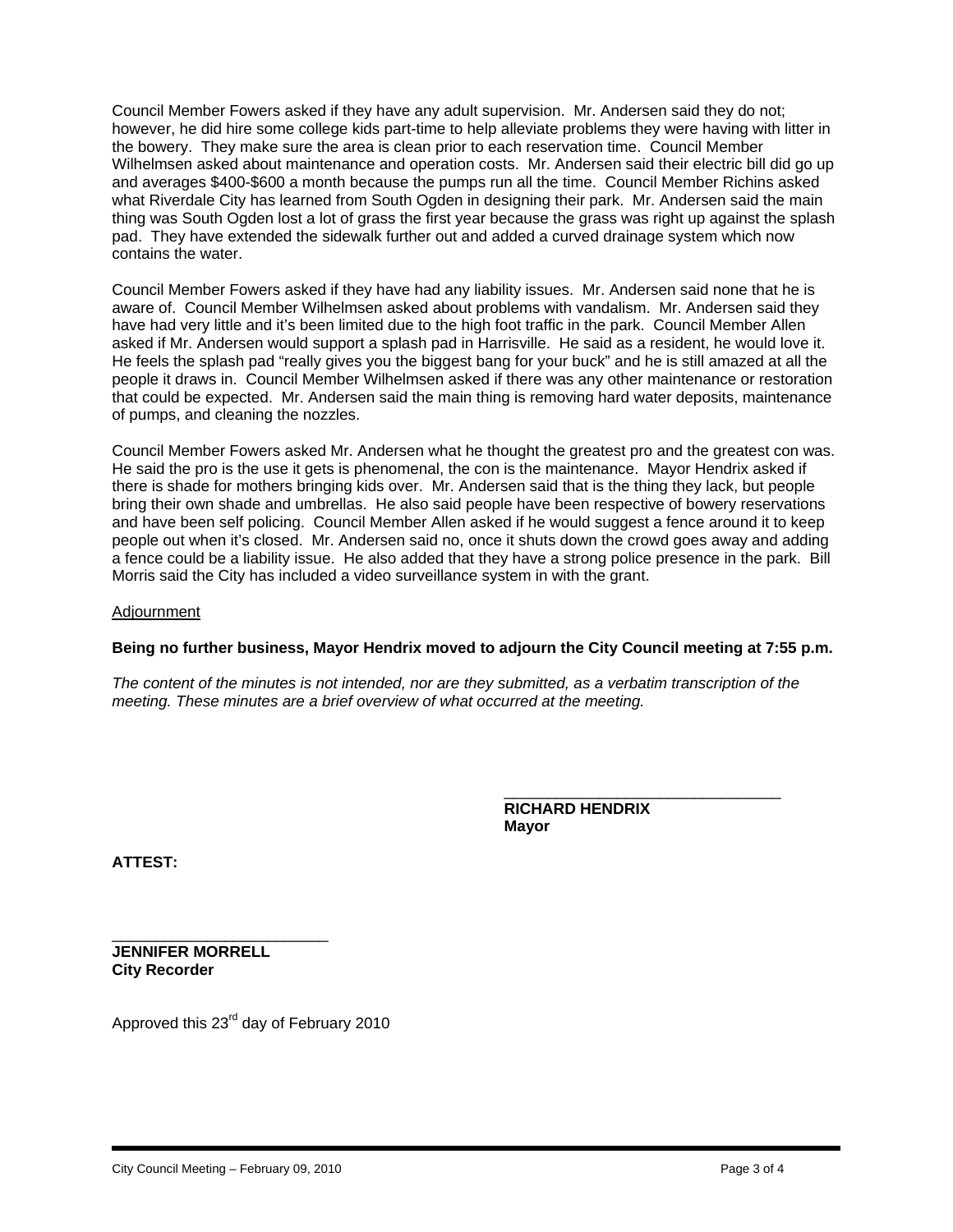Council Member Fowers asked if they have any adult supervision. Mr. Andersen said they do not; however, he did hire some college kids part-time to help alleviate problems they were having with litter in the bowery. They make sure the area is clean prior to each reservation time. Council Member Wilhelmsen asked about maintenance and operation costs. Mr. Andersen said their electric bill did go up and averages \$400-\$600 a month because the pumps run all the time. Council Member Richins asked what Riverdale City has learned from South Ogden in designing their park. Mr. Andersen said the main thing was South Ogden lost a lot of grass the first year because the grass was right up against the splash pad. They have extended the sidewalk further out and added a curved drainage system which now contains the water.

Council Member Fowers asked if they have had any liability issues. Mr. Andersen said none that he is aware of. Council Member Wilhelmsen asked about problems with vandalism. Mr. Andersen said they have had very little and it's been limited due to the high foot traffic in the park. Council Member Allen asked if Mr. Andersen would support a splash pad in Harrisville. He said as a resident, he would love it. He feels the splash pad "really gives you the biggest bang for your buck" and he is still amazed at all the people it draws in. Council Member Wilhelmsen asked if there was any other maintenance or restoration that could be expected. Mr. Andersen said the main thing is removing hard water deposits, maintenance of pumps, and cleaning the nozzles.

Council Member Fowers asked Mr. Andersen what he thought the greatest pro and the greatest con was. He said the pro is the use it gets is phenomenal, the con is the maintenance. Mayor Hendrix asked if there is shade for mothers bringing kids over. Mr. Andersen said that is the thing they lack, but people bring their own shade and umbrellas. He also said people have been respective of bowery reservations and have been self policing. Council Member Allen asked if he would suggest a fence around it to keep people out when it's closed. Mr. Andersen said no, once it shuts down the crowd goes away and adding a fence could be a liability issue. He also added that they have a strong police presence in the park. Bill Morris said the City has included a video surveillance system in with the grant.

#### Adjournment

## **Being no further business, Mayor Hendrix moved to adjourn the City Council meeting at 7:55 p.m.**

*The content of the minutes is not intended, nor are they submitted, as a verbatim transcription of the meeting. These minutes are a brief overview of what occurred at the meeting.* 

> **RICHARD HENDRIX Mayor**

\_\_\_\_\_\_\_\_\_\_\_\_\_\_\_\_\_\_\_\_\_\_\_\_\_\_\_\_\_\_\_\_

**ATTEST:** 

i

\_\_\_\_\_\_\_\_\_\_\_\_\_\_\_\_\_\_\_\_\_\_\_\_\_ **JENNIFER MORRELL City Recorder** 

Approved this 23rd day of February 2010